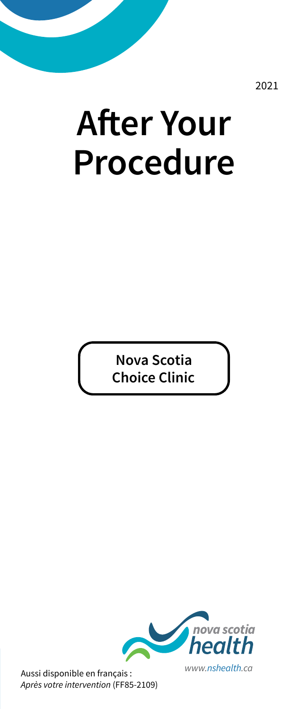2021

# **After Your Procedure**

**Nova Scotia Choice Clinic**



Aussi disponible en français : *Après votre intervention* (FF85-2109)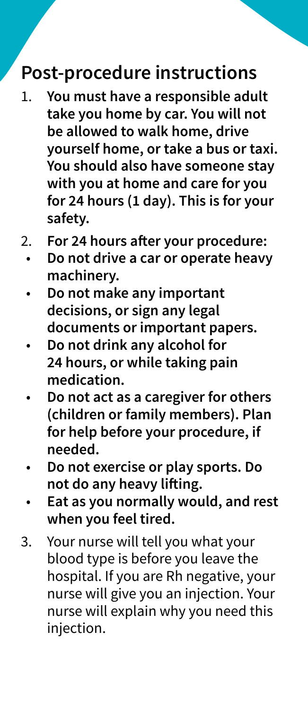#### **Post-procedure instructions**

- 1. **You must have a responsible adult take you home by car. You will not be allowed to walk home, drive yourself home, or take a bus or taxi. You should also have someone stay with you at home and care for you for 24 hours (1 day). This is for your safety.**
- 2. **For 24 hours after your procedure:**
	- **Do not drive a car or operate heavy machinery.**
	- **Do not make any important decisions, or sign any legal documents or important papers.**
	- **Do not drink any alcohol for 24 hours, or while taking pain medication.**
	- **Do not act as a caregiver for others (children or family members). Plan for help before your procedure, if needed.**
	- **Do not exercise or play sports. Do not do any heavy lifting.**
	- **Eat as you normally would, and rest when you feel tired.**
- 3. Your nurse will tell you what your blood type is before you leave the hospital. If you are Rh negative, your nurse will give you an injection. Your nurse will explain why you need this injection.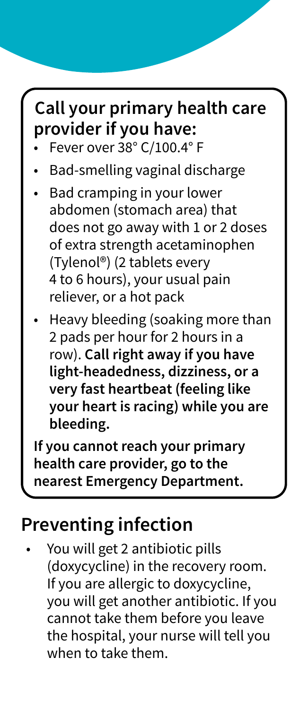## **Call your primary health care provider if you have:**

- Fever over 38° C/100.4° F
- Bad-smelling vaginal discharge
- Bad cramping in your lower abdomen (stomach area) that does not go away with 1 or 2 doses of extra strength acetaminophen (Tylenol®) (2 tablets every 4 to 6 hours), your usual pain reliever, or a hot pack
- Heavy bleeding (soaking more than 2 pads per hour for 2 hours in a row). **Call right away if you have light-headedness, dizziness, or a very fast heartbeat (feeling like your heart is racing) while you are bleeding.**

**If you cannot reach your primary health care provider, go to the nearest Emergency Department.**

#### **Preventing infection**

• You will get 2 antibiotic pills (doxycycline) in the recovery room. If you are allergic to doxycycline, you will get another antibiotic. If you cannot take them before you leave the hospital, your nurse will tell you when to take them.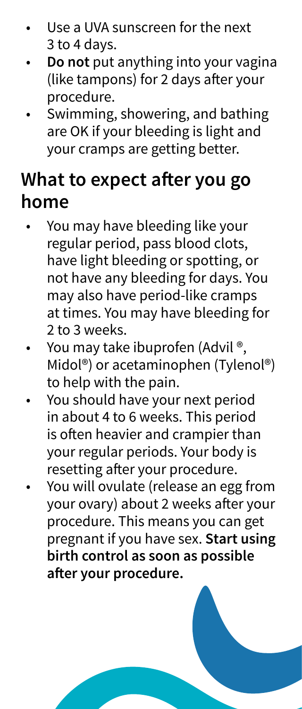- Use a UVA sunscreen for the next 3 to 4 days.
- **Do not** put anything into your vagina (like tampons) for 2 days after your procedure.
- Swimming, showering, and bathing are OK if your bleeding is light and your cramps are getting better.

#### **What to expect after you go home**

- You may have bleeding like your regular period, pass blood clots, have light bleeding or spotting, or not have any bleeding for days. You may also have period-like cramps at times. You may have bleeding for 2 to 3 weeks.
- You may take ibuprofen (Advil<sup>®</sup>, Midol®) or acetaminophen (Tylenol®) to help with the pain.
- You should have your next period in about 4 to 6 weeks. This period is often heavier and crampier than your regular periods. Your body is resetting after your procedure.
- You will ovulate (release an egg from your ovary) about 2 weeks after your procedure. This means you can get pregnant if you have sex. **Start using birth control as soon as possible after your procedure.**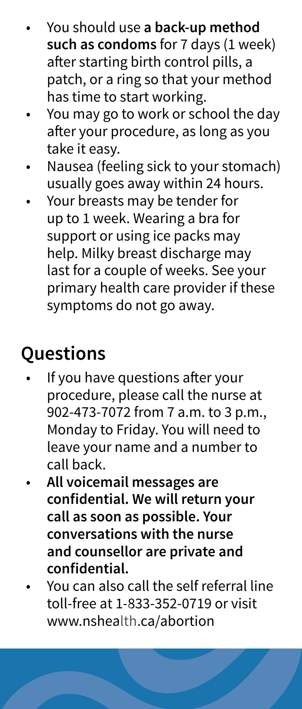- You should use **a back-up method such as condoms** for 7 days (1 week) after starting birth control pills, a patch, or a ring so that your method has time to start working.
- You may go to work or school the day after your procedure, as long as you take it easy.
- Nausea (feeling sick to your stomach) usually goes away within 24 hours.
- Your breasts may be tender for up to 1 week. Wearing a bra for support or using ice packs may help. Milky breast discharge may last for a couple of weeks. See your primary health care provider if these symptoms do not go away.

## **Questions**

- If you have questions after your procedure, please call the nurse at 902-473-7072 from 7 a.m. to 3 p.m., Monday to Friday. You will need to leave your name and a number to call back.
- **All voicemail messages are confi dential. We will return your call as soon as possible. Your conversations with the nurse and counsellor are private and confi dential.**
- You can also call the self referral line toll-free at 1-833-352-0719 or visit www.nshealth.ca/abortion